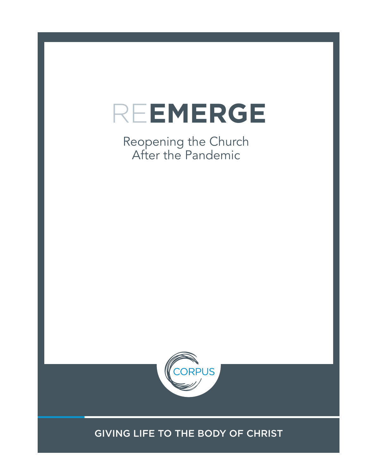

Reopening the Church After the Pandemic



GIVING LIFE TO THE BODY OF CHRIST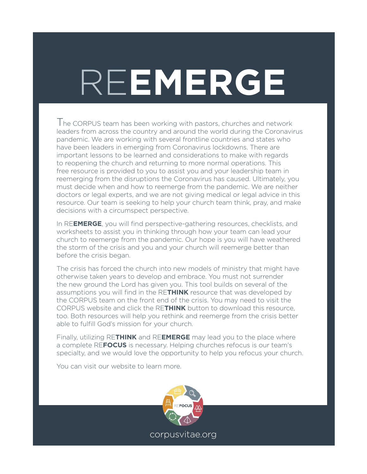# RE**EMERGE**

The CORPUS team has been working with pastors, churches and network leaders from across the country and around the world during the Coronavirus pandemic. We are working with several frontline countries and states who have been leaders in emerging from Coronavirus lockdowns. There are important lessons to be learned and considerations to make with regards to reopening the church and returning to more normal operations. This free resource is provided to you to assist you and your leadership team in reemerging from the disruptions the Coronavirus has caused. Ultimately, you must decide when and how to reemerge from the pandemic. We are neither doctors or legal experts, and we are not giving medical or legal advice in this resource. Our team is seeking to help your church team think, pray, and make decisions with a circumspect perspective.

In RE**EMERGE**, you will find perspective-gathering resources, checklists, and worksheets to assist you in thinking through how your team can lead your church to reemerge from the pandemic. Our hope is you will have weathered the storm of the crisis and you and your church will reemerge better than before the crisis began.

The crisis has forced the church into new models of ministry that might have otherwise taken years to develop and embrace. You must not surrender the new ground the Lord has given you. This tool builds on several of the assumptions you will find in the RE**THINK** resource that was developed by the CORPUS team on the front end of the crisis. You may need to visit the CORPUS website and click the RE**THINK** button to download this resource, too. Both resources will help you rethink and reemerge from the crisis better able to fulfill God's mission for your church.

Finally, utilizing RE**THINK** and RE**EMERGE** may lead you to the place where a complete RE**FOCUS** is necessary. Helping churches refocus is our team's specialty, and we would love the opportunity to help you refocus your church.

You can visit our website to learn more.

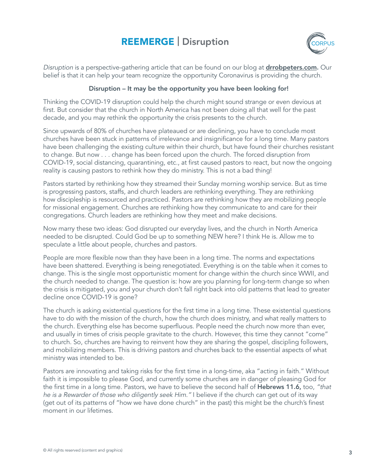## REEMERGE | Disruption



Disruption is a perspective-gathering article that can be found on our blog at **drrobpeters.com.** Our belief is that it can help your team recognize the opportunity Coronavirus is providing the church.

#### Disruption – It may be the opportunity you have been looking for!

Thinking the COVID-19 disruption could help the church might sound strange or even devious at first. But consider that the church in North America has not been doing all that well for the past decade, and you may rethink the opportunity the crisis presents to the church.

Since upwards of 80% of churches have plateaued or are declining, you have to conclude most churches have been stuck in patterns of irrelevance and insignificance for a long time. Many pastors have been challenging the existing culture within their church, but have found their churches resistant to change. But now . . . change has been forced upon the church. The forced disruption from COVID-19, social distancing, quarantining, etc., at first caused pastors to react, but now the ongoing reality is causing pastors to rethink how they do ministry. This is not a bad thing!

Pastors started by rethinking how they streamed their Sunday morning worship service. But as time is progressing pastors, staffs, and church leaders are rethinking everything. They are rethinking how discipleship is resourced and practiced. Pastors are rethinking how they are mobilizing people for missional engagement. Churches are rethinking how they communicate to and care for their congregations. Church leaders are rethinking how they meet and make decisions.

Now marry these two ideas: God disrupted our everyday lives, and the church in North America needed to be disrupted. Could God be up to something NEW here? I think He is. Allow me to speculate a little about people, churches and pastors.

People are more flexible now than they have been in a long time. The norms and expectations have been shattered. Everything is being renegotiated. Everything is on the table when it comes to change. This is the single most opportunistic moment for change within the church since WWII, and the church needed to change. The question is: how are you planning for long-term change so when the crisis is mitigated, you and your church don't fall right back into old patterns that lead to greater decline once COVID-19 is gone?

The church is asking existential questions for the first time in a long time. These existential questions have to do with the mission of the church, how the church does ministry, and what really matters to the church. Everything else has become superfluous. People need the church now more than ever, and usually in times of crisis people gravitate to the church. However, this time they cannot "come" to church. So, churches are having to reinvent how they are sharing the gospel, discipling followers, and mobilizing members. This is driving pastors and churches back to the essential aspects of what ministry was intended to be.

Pastors are innovating and taking risks for the first time in a long-time, aka "acting in faith." Without faith it is impossible to please God, and currently some churches are in danger of pleasing God for the first time in a long time. Pastors, we have to believe the second half of **Hebrews 11.6,** too, "that he is a Rewarder of those who diligently seek Him." I believe if the church can get out of its way (get out of its patterns of "how we have done church" in the past) this might be the church's finest moment in our lifetimes.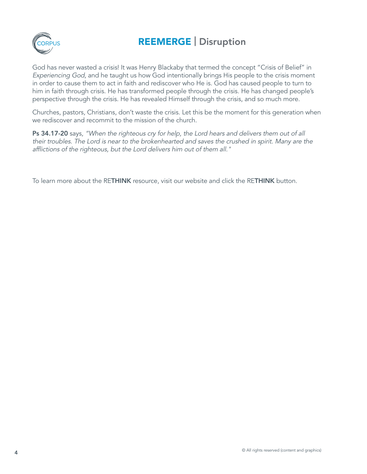

## REEMERGE | Disruption

God has never wasted a crisis! It was Henry Blackaby that termed the concept "Crisis of Belief" in Experiencing God, and he taught us how God intentionally brings His people to the crisis moment in order to cause them to act in faith and rediscover who He is. God has caused people to turn to him in faith through crisis. He has transformed people through the crisis. He has changed people's perspective through the crisis. He has revealed Himself through the crisis, and so much more.

Churches, pastors, Christians, don't waste the crisis. Let this be the moment for this generation when we rediscover and recommit to the mission of the church.

Ps 34.17-20 says, "When the righteous cry for help, the Lord hears and delivers them out of all their troubles. The Lord is near to the brokenhearted and saves the crushed in spirit. Many are the afflictions of the righteous, but the Lord delivers him out of them all."

To learn more about the RETHINK resource, visit our website and click the RETHINK button.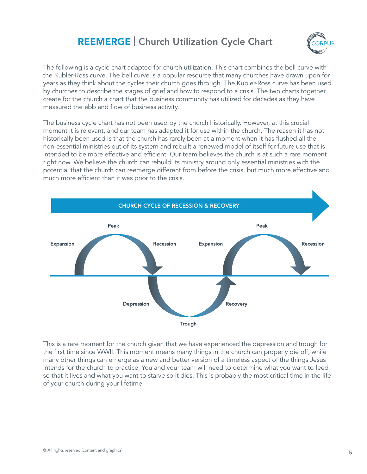#### REEMERGE | Church Utilization Cycle Chart



The following is a cycle chart adapted for church utilization. This chart combines the bell curve with the Kubler-Ross curve. The bell curve is a popular resource that many churches have drawn upon for years as they think about the cycles their church goes through. The Kubler-Ross curve has been used by churches to describe the stages of grief and how to respond to a crisis. The two charts together create for the church a chart that the business community has utilized for decades as they have measured the ebb and flow of business activity.

The business cycle chart has not been used by the church historically. However, at this crucial moment it is relevant, and our team has adapted it for use within the church. The reason it has not historically been used is that the church has rarely been at a moment when it has flushed all the non-essential ministries out of its system and rebuilt a renewed model of itself for future use that is intended to be more effective and efficient. Our team believes the church is at such a rare moment right now. We believe the church can rebuild its ministry around only essential ministries with the potential that the church can reemerge different from before the crisis, but much more effective and much more efficient than it was prior to the crisis.



This is a rare moment for the church given that we have experienced the depression and trough for the first time since WWII. This moment means many things in the church can properly die off, while many other things can emerge as a new and better version of a timeless aspect of the things Jesus intends for the church to practice. You and your team will need to determine what you want to feed so that it lives and what you want to starve so it dies. This is probably the most critical time in the life of your church during your lifetime.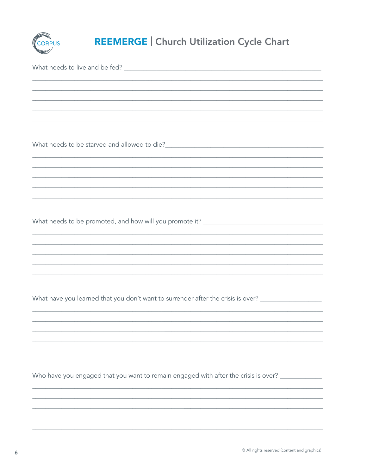

## **REEMERGE | Church Utilization Cycle Chart**

What needs to be promoted, and how will you promote it?

What have you learned that you don't want to surrender after the crisis is over? \_\_\_\_\_\_\_\_\_\_\_\_\_\_\_\_\_\_\_

Who have you engaged that you want to remain engaged with after the crisis is over?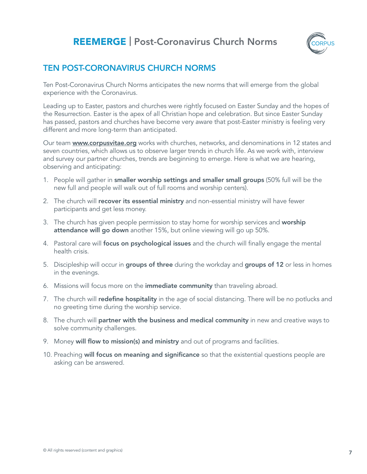## REEMERGE | Post-Coronavirus Church Norms



#### TEN POST-CORONAVIRUS CHURCH NORMS

Ten Post-Coronavirus Church Norms anticipates the new norms that will emerge from the global experience with the Coronavirus.

Leading up to Easter, pastors and churches were rightly focused on Easter Sunday and the hopes of the Resurrection. Easter is the apex of all Christian hope and celebration. But since Easter Sunday has passed, pastors and churches have become very aware that post-Easter ministry is feeling very different and more long-term than anticipated.

Our team **www.corpusvitae.org** works with churches, networks, and denominations in 12 states and seven countries, which allows us to observe larger trends in church life. As we work with, interview and survey our partner churches, trends are beginning to emerge. Here is what we are hearing, observing and anticipating:

- 1. People will gather in **smaller worship settings and smaller small groups** (50% full will be the new full and people will walk out of full rooms and worship centers).
- 2. The church will recover its essential ministry and non-essential ministry will have fewer participants and get less money.
- 3. The church has given people permission to stay home for worship services and worship attendance will go down another 15%, but online viewing will go up 50%.
- 4. Pastoral care will **focus on psychological issues** and the church will finally engage the mental health crisis.
- 5. Discipleship will occur in groups of three during the workday and groups of 12 or less in homes in the evenings.
- 6. Missions will focus more on the *immediate community* than traveling abroad.
- 7. The church will **redefine hospitality** in the age of social distancing. There will be no potlucks and no greeting time during the worship service.
- 8. The church will **partner with the business and medical community** in new and creative ways to solve community challenges.
- 9. Money will flow to mission(s) and ministry and out of programs and facilities.
- 10. Preaching will focus on meaning and significance so that the existential questions people are asking can be answered.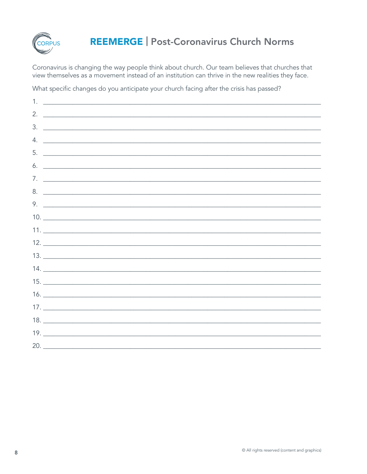

## **REEMERGE | Post-Coronavirus Church Norms**

Coronavirus is changing the way people think about church. Our team believes that churches that view themselves as a movement instead of an institution can thrive in the new realities they face.

What specific changes do you anticipate your church facing after the crisis has passed?

| 1. | <u> Alexandria de la contrada de la contrada de la contrada de la contrada de la contrada de la contrada de la c</u>                                                                                                                                                                                                                                      |
|----|-----------------------------------------------------------------------------------------------------------------------------------------------------------------------------------------------------------------------------------------------------------------------------------------------------------------------------------------------------------|
|    | 2. $\frac{1}{2}$ $\frac{1}{2}$ $\frac{1}{2}$ $\frac{1}{2}$ $\frac{1}{2}$ $\frac{1}{2}$ $\frac{1}{2}$ $\frac{1}{2}$ $\frac{1}{2}$ $\frac{1}{2}$ $\frac{1}{2}$ $\frac{1}{2}$ $\frac{1}{2}$ $\frac{1}{2}$ $\frac{1}{2}$ $\frac{1}{2}$ $\frac{1}{2}$ $\frac{1}{2}$ $\frac{1}{2}$ $\frac{1}{2}$ $\frac{1}{2}$ $\frac{1}{2}$                                    |
|    | $\frac{3}{2}$                                                                                                                                                                                                                                                                                                                                             |
|    | $4.$ $\overline{\phantom{a}}$                                                                                                                                                                                                                                                                                                                             |
|    |                                                                                                                                                                                                                                                                                                                                                           |
|    | $\delta$ . $\qquad \qquad$                                                                                                                                                                                                                                                                                                                                |
|    |                                                                                                                                                                                                                                                                                                                                                           |
|    | $8.$ $\overline{\phantom{a}}$                                                                                                                                                                                                                                                                                                                             |
|    | 9. $\overline{\phantom{a}}$                                                                                                                                                                                                                                                                                                                               |
|    | $\begin{tabular}{c} 10. \end{tabular}$                                                                                                                                                                                                                                                                                                                    |
|    | $11.$ $\frac{1}{\sqrt{11}}$ $\frac{1}{\sqrt{11}}$ $\frac{1}{\sqrt{11}}$ $\frac{1}{\sqrt{11}}$ $\frac{1}{\sqrt{11}}$ $\frac{1}{\sqrt{11}}$ $\frac{1}{\sqrt{11}}$ $\frac{1}{\sqrt{11}}$ $\frac{1}{\sqrt{11}}$ $\frac{1}{\sqrt{11}}$ $\frac{1}{\sqrt{11}}$ $\frac{1}{\sqrt{11}}$ $\frac{1}{\sqrt{11}}$ $\frac{1}{\sqrt{11}}$ $\frac{1}{\sqrt{11}}$ $\frac{1$ |
|    |                                                                                                                                                                                                                                                                                                                                                           |
|    |                                                                                                                                                                                                                                                                                                                                                           |
|    |                                                                                                                                                                                                                                                                                                                                                           |
|    |                                                                                                                                                                                                                                                                                                                                                           |
|    |                                                                                                                                                                                                                                                                                                                                                           |
|    |                                                                                                                                                                                                                                                                                                                                                           |
|    | $17. \_$                                                                                                                                                                                                                                                                                                                                                  |
|    |                                                                                                                                                                                                                                                                                                                                                           |
|    | 20.                                                                                                                                                                                                                                                                                                                                                       |
|    |                                                                                                                                                                                                                                                                                                                                                           |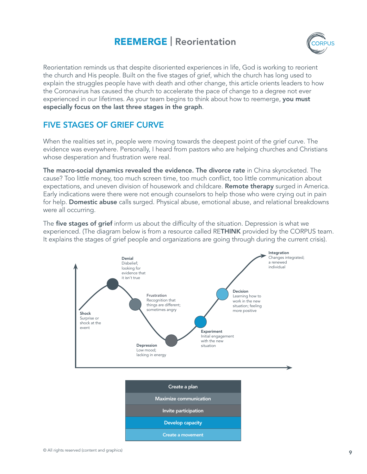#### REEMERGE | Reorientation



Reorientation reminds us that despite disoriented experiences in life, God is working to reorient the church and His people. Built on the five stages of grief, which the church has long used to explain the struggles people have with death and other change, this article orients leaders to how the Coronavirus has caused the church to accelerate the pace of change to a degree not ever experienced in our lifetimes. As your team begins to think about how to reemerge, you must especially focus on the last three stages in the graph.

#### FIVE STAGES OF GRIEF CURVE

When the realities set in, people were moving towards the deepest point of the grief curve. The evidence was everywhere. Personally, I heard from pastors who are helping churches and Christians whose desperation and frustration were real.

The macro-social dynamics revealed the evidence. The divorce rate in China skyrocketed. The cause? Too little money, too much screen time, too much conflict, too little communication about expectations, and uneven division of housework and childcare. **Remote therapy** surged in America. Early indications were there were not enough counselors to help those who were crying out in pain for help. **Domestic abuse** calls surged. Physical abuse, emotional abuse, and relational breakdowns were all occurring.

The five stages of grief inform us about the difficulty of the situation. Depression is what we experienced. (The diagram below is from a resource called RETHINK provided by the CORPUS team. It explains the stages of grief people and organizations are going through during the current crisis).



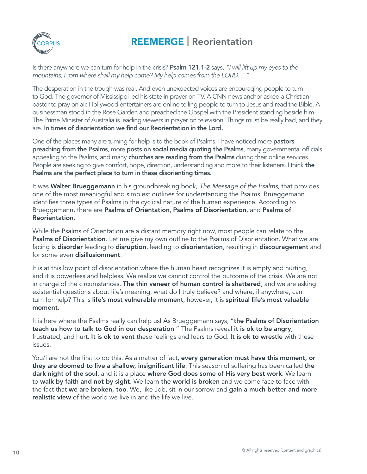

## REEMERGE | Reorientation

Is there anywhere we can turn for help in the crisis? **Psalm 121.1-2** says, "I will lift up my eyes to the mountains; From where shall my help come? My help comes from the LORD. . ."

The desperation in the trough was real. And even unexpected voices are encouraging people to turn to God. The governor of Mississippi led his state in prayer on TV. A CNN news anchor asked a Christian pastor to pray on air. Hollywood entertainers are online telling people to turn to Jesus and read the Bible. A businessman stood in the Rose Garden and preached the Gospel with the President standing beside him. The Prime Minister of Australia is leading viewers in prayer on television. Things must be really bad, and they are. In times of disorientation we find our Reorientation in the Lord.

One of the places many are turning for help is to the book of Psalms. I have noticed more pastors preaching from the Psalms, more posts on social media quoting the Psalms, many governmental officials appealing to the Psalms, and many churches are reading from the Psalms during their online services. People are seeking to give comfort, hope, direction, understanding and more to their listeners. I think the Psalms are the perfect place to turn in these disorienting times.

It was **Walter Brueggemann** in his groundbreaking book, The Message of the Psalms, that provides one of the most meaningful and simplest outlines for understanding the Psalms. Brueggemann identifies three types of Psalms in the cyclical nature of the human experience. According to Brueggemann, there are **Psalms of Orientation, Psalms of Disorientation**, and **Psalms of** Reorientation.

While the Psalms of Orientation are a distant memory right now, most people can relate to the **Psalms of Disorientation**. Let me give my own outline to the Psalms of Disorientation. What we are facing is disorder leading to disruption, leading to disorientation, resulting in discouragement and for some even disillusionment.

It is at this low point of disorientation where the human heart recognizes it is empty and hurting, and it is powerless and helpless. We realize we cannot control the outcome of the crisis. We are not in charge of the circumstances. The thin veneer of human control is shattered, and we are asking existential questions about life's meaning: what do I truly believe? and where, if anywhere, can I turn for help? This is life's most vulnerable moment; however, it is spiritual life's most valuable moment.

It is here where the Psalms really can help us! As Brueggemann says, "the Psalms of Disorientation teach us how to talk to God in our desperation." The Psalms reveal it is ok to be angry, frustrated, and hurt. It is ok to vent these feelings and fears to God. It is ok to wrestle with these issues.

You/I are not the first to do this. As a matter of fact, every generation must have this moment, or they are doomed to live a shallow, insignificant life. This season of suffering has been called the dark night of the soul, and it is a place where God does some of His very best work. We learn to walk by faith and not by sight. We learn the world is broken and we come face to face with the fact that we are broken, too. We, like Job, sit in our sorrow and gain a much better and more realistic view of the world we live in and the life we live.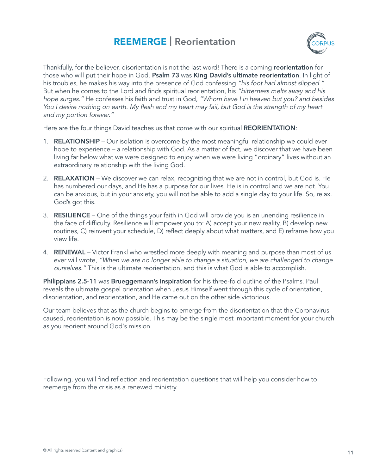#### REEMERGE | Reorientation



Thankfully, for the believer, disorientation is not the last word! There is a coming reorientation for those who will put their hope in God. Psalm 73 was King David's ultimate reorientation. In light of his troubles, he makes his way into the presence of God confessing "his foot had almost slipped." But when he comes to the Lord and finds spiritual reorientation, his "bitterness melts away and his hope surges." He confesses his faith and trust in God, "Whom have I in heaven but you? and besides You I desire nothing on earth. My flesh and my heart may fail, but God is the strength of my heart and my portion forever."

Here are the four things David teaches us that come with our spiritual REORIENTATION:

- 1. **RELATIONSHIP** Our isolation is overcome by the most meaningful relationship we could ever hope to experience – a relationship with God. As a matter of fact, we discover that we have been living far below what we were designed to enjoy when we were living "ordinary" lives without an extraordinary relationship with the living God.
- 2. RELAXATION We discover we can relax, recognizing that we are not in control, but God is. He has numbered our days, and He has a purpose for our lives. He is in control and we are not. You can be anxious, but in your anxiety, you will not be able to add a single day to your life. So, relax. God's got this.
- 3. RESILIENCE One of the things your faith in God will provide you is an unending resilience in the face of difficulty. Resilience will empower you to: A) accept your new reality, B) develop new routines, C) reinvent your schedule, D) reflect deeply about what matters, and E) reframe how you view life.
- 4. RENEWAL Victor Frankl who wrestled more deeply with meaning and purpose than most of us ever will wrote, "When we are no longer able to change a situation, we are challenged to change ourselves." This is the ultimate reorientation, and this is what God is able to accomplish.

Philippians 2.5-11 was Brueggemann's inspiration for his three-fold outline of the Psalms. Paul reveals the ultimate gospel orientation when Jesus Himself went through this cycle of orientation, disorientation, and reorientation, and He came out on the other side victorious.

Our team believes that as the church begins to emerge from the disorientation that the Coronavirus caused, reorientation is now possible. This may be the single most important moment for your church as you reorient around God's mission.

Following, you will find reflection and reorientation questions that will help you consider how to reemerge from the crisis as a renewed ministry.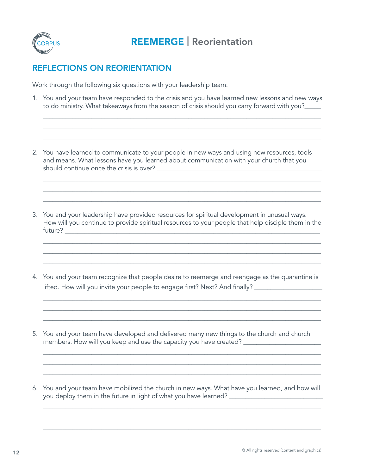

#### REFLECTIONS ON REORIENTATION

Work through the following six questions with your leadership team:

1. You and your team have responded to the crisis and you have learned new lessons and new ways to do ministry. What takeaways from the season of crisis should you carry forward with you?

\_\_\_\_\_\_\_\_\_\_\_\_\_\_\_\_\_\_\_\_\_\_\_\_\_\_\_\_\_\_\_\_\_\_\_\_\_\_\_\_\_\_\_\_\_\_\_\_\_\_\_\_\_\_\_\_\_\_\_\_\_\_\_\_\_\_\_\_\_\_\_\_\_\_\_\_\_\_\_\_\_\_\_\_\_\_ \_\_\_\_\_\_\_\_\_\_\_\_\_\_\_\_\_\_\_\_\_\_\_\_\_\_\_\_\_\_\_\_\_\_\_\_\_\_\_\_\_\_\_\_\_\_\_\_\_\_\_\_\_\_\_\_\_\_\_\_\_\_\_\_\_\_\_\_\_\_\_\_\_\_\_\_\_\_\_\_\_\_\_\_\_\_ \_\_\_\_\_\_\_\_\_\_\_\_\_\_\_\_\_\_\_\_\_\_\_\_\_\_\_\_\_\_\_\_\_\_\_\_\_\_\_\_\_\_\_\_\_\_\_\_\_\_\_\_\_\_\_\_\_\_\_\_\_\_\_\_\_\_\_\_\_\_\_\_\_\_\_\_\_\_\_\_\_\_\_\_\_\_

 $\_$  ,  $\_$  ,  $\_$  ,  $\_$  ,  $\_$  ,  $\_$  ,  $\_$  ,  $\_$  ,  $\_$  ,  $\_$  ,  $\_$  ,  $\_$  ,  $\_$  ,  $\_$  ,  $\_$  ,  $\_$  ,  $\_$  ,  $\_$  ,  $\_$  ,  $\_$  ,  $\_$  ,  $\_$  ,  $\_$  ,  $\_$  ,  $\_$  ,  $\_$  ,  $\_$  ,  $\_$  ,  $\_$  ,  $\_$  ,  $\_$  ,  $\_$  ,  $\_$  ,  $\_$  ,  $\_$  ,  $\_$  ,  $\_$  , \_\_\_\_\_\_\_\_\_\_\_\_\_\_\_\_\_\_\_\_\_\_\_\_\_\_\_\_\_\_\_\_\_\_\_\_\_\_\_\_\_\_\_\_\_\_\_\_\_\_\_\_\_\_\_\_\_\_\_\_\_\_\_\_\_\_\_\_\_\_\_\_\_\_\_\_\_\_\_\_\_\_\_\_\_\_ \_\_\_\_\_\_\_\_\_\_\_\_\_\_\_\_\_\_\_\_\_\_\_\_\_\_\_\_\_\_\_\_\_\_\_\_\_\_\_\_\_\_\_\_\_\_\_\_\_\_\_\_\_\_\_\_\_\_\_\_\_\_\_\_\_\_\_\_\_\_\_\_\_\_\_\_\_\_\_\_\_\_\_\_\_\_

- 2. You have learned to communicate to your people in new ways and using new resources, tools and means. What lessons have you learned about communication with your church that you should continue once the crisis is over? \_\_\_\_\_\_\_\_\_\_\_\_\_\_\_\_\_\_\_\_\_\_\_\_\_\_\_\_\_\_\_\_\_\_\_\_\_\_\_\_\_\_\_\_\_\_\_\_\_\_\_
- 3. You and your leadership have provided resources for spiritual development in unusual ways. How will you continue to provide spiritual resources to your people that help disciple them in the future? \_\_\_\_\_\_\_\_\_\_\_\_\_\_\_\_\_\_\_\_\_\_\_\_\_\_\_\_\_\_\_\_\_\_\_\_\_\_\_\_\_\_\_\_\_\_\_\_\_\_\_\_\_\_\_\_\_\_\_\_\_\_\_\_\_\_\_\_\_\_\_\_\_\_\_\_\_\_\_

\_\_\_\_\_\_\_\_\_\_\_\_\_\_\_\_\_\_\_\_\_\_\_\_\_\_\_\_\_\_\_\_\_\_\_\_\_\_\_\_\_\_\_\_\_\_\_\_\_\_\_\_\_\_\_\_\_\_\_\_\_\_\_\_\_\_\_\_\_\_\_\_\_\_\_\_\_\_\_\_\_\_\_\_\_\_  $\_$  ,  $\_$  ,  $\_$  ,  $\_$  ,  $\_$  ,  $\_$  ,  $\_$  ,  $\_$  ,  $\_$  ,  $\_$  ,  $\_$  ,  $\_$  ,  $\_$  ,  $\_$  ,  $\_$  ,  $\_$  ,  $\_$  ,  $\_$  ,  $\_$  ,  $\_$  ,  $\_$  ,  $\_$  ,  $\_$  ,  $\_$  ,  $\_$  ,  $\_$  ,  $\_$  ,  $\_$  ,  $\_$  ,  $\_$  ,  $\_$  ,  $\_$  ,  $\_$  ,  $\_$  ,  $\_$  ,  $\_$  ,  $\_$  , \_\_\_\_\_\_\_\_\_\_\_\_\_\_\_\_\_\_\_\_\_\_\_\_\_\_\_\_\_\_\_\_\_\_\_\_\_\_\_\_\_\_\_\_\_\_\_\_\_\_\_\_\_\_\_\_\_\_\_\_\_\_\_\_\_\_\_\_\_\_\_\_\_\_\_\_\_\_\_\_\_\_\_\_\_\_

4. You and your team recognize that people desire to reemerge and reengage as the quarantine is lifted. How will you invite your people to engage first? Next? And finally? \_\_\_\_\_\_\_\_\_\_\_\_\_\_\_\_\_\_\_\_\_\_\_\_\_\_\_\_\_\_\_\_\_\_

 $\_$  ,  $\_$  ,  $\_$  ,  $\_$  ,  $\_$  ,  $\_$  ,  $\_$  ,  $\_$  ,  $\_$  ,  $\_$  ,  $\_$  ,  $\_$  ,  $\_$  ,  $\_$  ,  $\_$  ,  $\_$  ,  $\_$  ,  $\_$  ,  $\_$  ,  $\_$  ,  $\_$  ,  $\_$  ,  $\_$  ,  $\_$  ,  $\_$  ,  $\_$  ,  $\_$  ,  $\_$  ,  $\_$  ,  $\_$  ,  $\_$  ,  $\_$  ,  $\_$  ,  $\_$  ,  $\_$  ,  $\_$  ,  $\_$  , \_\_\_\_\_\_\_\_\_\_\_\_\_\_\_\_\_\_\_\_\_\_\_\_\_\_\_\_\_\_\_\_\_\_\_\_\_\_\_\_\_\_\_\_\_\_\_\_\_\_\_\_\_\_\_\_\_\_\_\_\_\_\_\_\_\_\_\_\_\_\_\_\_\_\_\_\_\_\_\_\_\_\_\_\_\_  $\_$  ,  $\_$  ,  $\_$  ,  $\_$  ,  $\_$  ,  $\_$  ,  $\_$  ,  $\_$  ,  $\_$  ,  $\_$  ,  $\_$  ,  $\_$  ,  $\_$  ,  $\_$  ,  $\_$  ,  $\_$  ,  $\_$  ,  $\_$  ,  $\_$  ,  $\_$  ,  $\_$  ,  $\_$  ,  $\_$  ,  $\_$  ,  $\_$  ,  $\_$  ,  $\_$  ,  $\_$  ,  $\_$  ,  $\_$  ,  $\_$  ,  $\_$  ,  $\_$  ,  $\_$  ,  $\_$  ,  $\_$  ,  $\_$  ,

\_\_\_\_\_\_\_\_\_\_\_\_\_\_\_\_\_\_\_\_\_\_\_\_\_\_\_\_\_\_\_\_\_\_\_\_\_\_\_\_\_\_\_\_\_\_\_\_\_\_\_\_\_\_\_\_\_\_\_\_\_\_\_\_\_\_\_\_\_\_\_\_\_\_\_\_\_\_\_\_\_\_\_\_\_\_  $\_$  ,  $\_$  ,  $\_$  ,  $\_$  ,  $\_$  ,  $\_$  ,  $\_$  ,  $\_$  ,  $\_$  ,  $\_$  ,  $\_$  ,  $\_$  ,  $\_$  ,  $\_$  ,  $\_$  ,  $\_$  ,  $\_$  ,  $\_$  ,  $\_$  ,  $\_$  ,  $\_$  ,  $\_$  ,  $\_$  ,  $\_$  ,  $\_$  ,  $\_$  ,  $\_$  ,  $\_$  ,  $\_$  ,  $\_$  ,  $\_$  ,  $\_$  ,  $\_$  ,  $\_$  ,  $\_$  ,  $\_$  ,  $\_$  ,  $\_$  ,  $\_$  ,  $\_$  ,  $\_$  ,  $\_$  ,  $\_$  ,  $\_$  ,  $\_$  ,  $\_$  ,  $\_$  ,  $\_$  ,  $\_$  ,  $\_$  ,  $\_$  ,  $\_$  ,  $\_$  ,  $\_$  ,  $\_$  ,  $\_$  ,  $\_$  ,  $\_$  ,  $\_$  ,  $\_$  ,  $\_$  ,  $\_$  ,  $\_$  ,  $\_$  ,  $\_$  ,  $\_$  ,  $\_$  ,  $\_$  ,  $\_$  ,  $\_$  ,  $\_$  ,  $\_$  ,  $\_$  ,  $\_$  ,

- 5. You and your team have developed and delivered many new things to the church and church members. How will you keep and use the capacity you have created? \_\_\_\_\_\_\_\_\_\_\_\_\_\_
- 6. You and your team have mobilized the church in new ways. What have you learned, and how will you deploy them in the future in light of what you have learned? \_\_\_\_\_\_\_\_\_\_\_\_\_\_\_\_

 $\_$  ,  $\_$  ,  $\_$  ,  $\_$  ,  $\_$  ,  $\_$  ,  $\_$  ,  $\_$  ,  $\_$  ,  $\_$  ,  $\_$  ,  $\_$  ,  $\_$  ,  $\_$  ,  $\_$  ,  $\_$  ,  $\_$  ,  $\_$  ,  $\_$  ,  $\_$  ,  $\_$  ,  $\_$  ,  $\_$  ,  $\_$  ,  $\_$  ,  $\_$  ,  $\_$  ,  $\_$  ,  $\_$  ,  $\_$  ,  $\_$  ,  $\_$  ,  $\_$  ,  $\_$  ,  $\_$  ,  $\_$  ,  $\_$  , \_\_\_\_\_\_\_\_\_\_\_\_\_\_\_\_\_\_\_\_\_\_\_\_\_\_\_\_\_\_\_\_\_\_\_\_\_\_\_\_\_\_\_\_\_\_\_\_\_\_\_\_\_\_\_\_\_\_\_\_\_\_\_\_\_\_\_\_\_\_\_\_\_\_\_\_\_\_\_\_\_\_\_\_\_\_ \_\_\_\_\_\_\_\_\_\_\_\_\_\_\_\_\_\_\_\_\_\_\_\_\_\_\_\_\_\_\_\_\_\_\_\_\_\_\_\_\_\_\_\_\_\_\_\_\_\_\_\_\_\_\_\_\_\_\_\_\_\_\_\_\_\_\_\_\_\_\_\_\_\_\_\_\_\_\_\_\_\_\_\_\_\_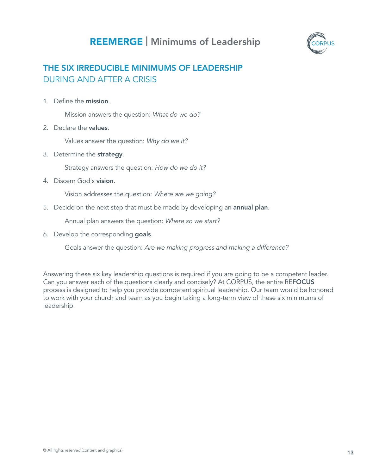## REEMERGE | Minimums of Leadership



#### THE SIX IRREDUCIBLE MINIMUMS OF LEADERSHIP DURING AND AFTER A CRISIS

1. Define the mission.

Mission answers the question: What do we do?

2. Declare the values.

Values answer the question: Why do we it?

3. Determine the strategy.

Strategy answers the question: How do we do it?

4. Discern God's vision.

Vision addresses the question: Where are we going?

5. Decide on the next step that must be made by developing an annual plan.

Annual plan answers the question: Where so we start?

6. Develop the corresponding goals.

Goals answer the question: Are we making progress and making a difference?

Answering these six key leadership questions is required if you are going to be a competent leader. Can you answer each of the questions clearly and concisely? At CORPUS, the entire REFOCUS process is designed to help you provide competent spiritual leadership. Our team would be honored to work with your church and team as you begin taking a long-term view of these six minimums of leadership.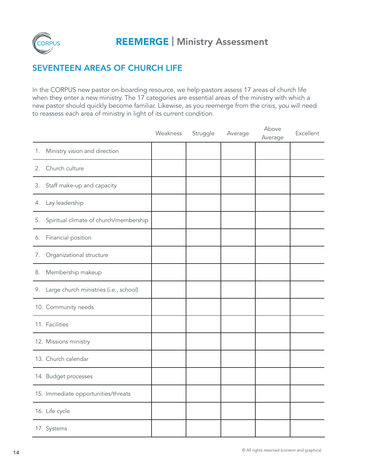

#### SEVENTEEN AREAS OF CHURCH LIFE

In the CORPUS new pastor on-boarding resource, we help pastors assess 17 areas of church life when they enter a new ministry. The 17 categories are essential areas of the ministry with which a new pastor should quickly become familiar. Likewise, as you reemerge from the crisis, you will need to reassess each area of ministry in light of its current condition.

|                                              | Weakness | Struggle | Average | Above<br>Average | Excellent |
|----------------------------------------------|----------|----------|---------|------------------|-----------|
| Ministry vision and direction<br>1.          |          |          |         |                  |           |
| Church culture<br>2.                         |          |          |         |                  |           |
| Staff make-up and capacity<br>3.             |          |          |         |                  |           |
| Lay leadership<br>4.                         |          |          |         |                  |           |
| Spiritual climate of church/membership<br>5. |          |          |         |                  |           |
| Financial position<br>6.                     |          |          |         |                  |           |
| Organizational structure<br>7.               |          |          |         |                  |           |
| Membership makeup<br>8.                      |          |          |         |                  |           |
| 9. Large church ministries (i.e., school)    |          |          |         |                  |           |
| 10. Community needs                          |          |          |         |                  |           |
| 11. Facilities                               |          |          |         |                  |           |
| 12. Missions ministry                        |          |          |         |                  |           |
| 13. Church calendar                          |          |          |         |                  |           |
| 14. Budget processes                         |          |          |         |                  |           |
| 15. Immediate opportunities/threats          |          |          |         |                  |           |
| 16. Life cycle                               |          |          |         |                  |           |
| 17. Systems                                  |          |          |         |                  |           |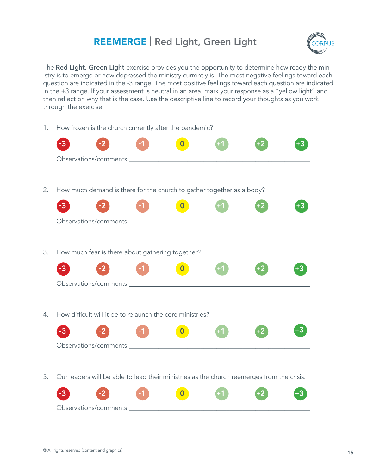## REEMERGE | Red Light, Green Light



The Red Light, Green Light exercise provides you the opportunity to determine how ready the ministry is to emerge or how depressed the ministry currently is. The most negative feelings toward each question are indicated in the -3 range. The most positive feelings toward each question are indicated in the +3 range. If your assessment is neutral in an area, mark your response as a "yellow light" and then reflect on why that is the case. Use the descriptive line to record your thoughts as you work through the exercise.

1. How frozen is the church currently after the pandemic?

| 2. | How much demand is there for the church to gather together as a body?                      |
|----|--------------------------------------------------------------------------------------------|
|    | -3                                                                                         |
|    |                                                                                            |
| 3. | How much fear is there about gathering together?                                           |
|    |                                                                                            |
| 4. | How difficult will it be to relaunch the core ministries?                                  |
|    | -3                                                                                         |
| 5. | Our leaders will be able to lead their ministries as the church reemerges from the crisis. |

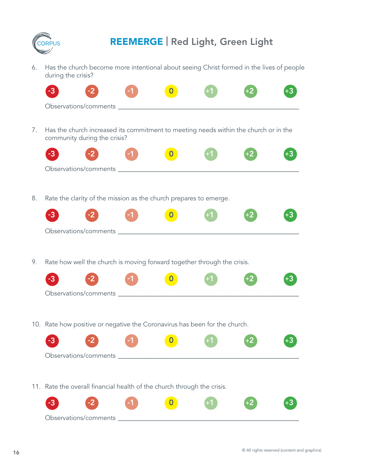

## REEMERGE | Red Light, Green Light

6. Has the church become more intentional about seeing Christ formed in the lives of people during the crisis?

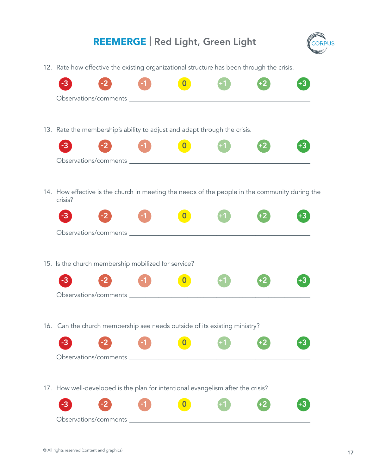#### REEMERGE | Red Light, Green Light



12. Rate how effective the existing organizational structure has been through the crisis.

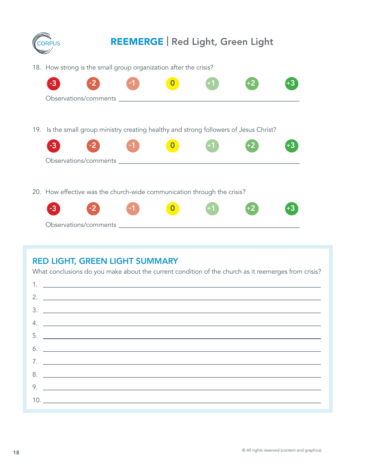

#### **RED LIGHT, GREEN LIGHT SUMMARY**

What conclusions do you make about the current condition of the church as it reemerges from crisis?

| 1. <u>__________________________________</u> |
|----------------------------------------------|
|                                              |
| $\frac{3}{2}$                                |
|                                              |
|                                              |
|                                              |
|                                              |
|                                              |
| 9.                                           |
|                                              |
|                                              |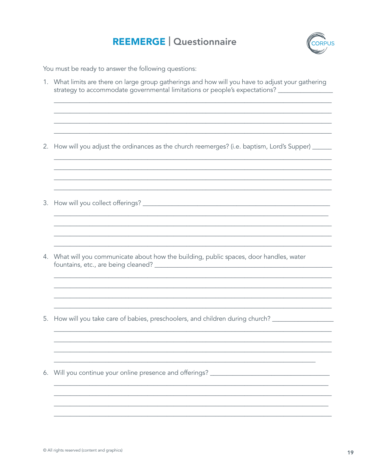

You must be ready to answer the following questions:

1. What limits are there on large group gatherings and how will you have to adjust your gathering strategy to accommodate governmental limitations or people's expectations? \_\_\_\_\_\_\_\_\_\_\_\_ 2. How will you adjust the ordinances as the church reemerges? (i.e. baptism, Lord's Supper) \_\_\_\_\_ 4. What will you communicate about how the building, public spaces, door handles, water 5. How will you take care of babies, preschoolers, and children during church? \_\_\_\_\_\_\_\_\_\_\_\_\_\_\_\_\_\_\_\_\_ 6. Will you continue your online presence and offerings? \_\_\_\_\_\_\_\_\_\_\_\_\_\_\_\_\_\_\_\_\_\_\_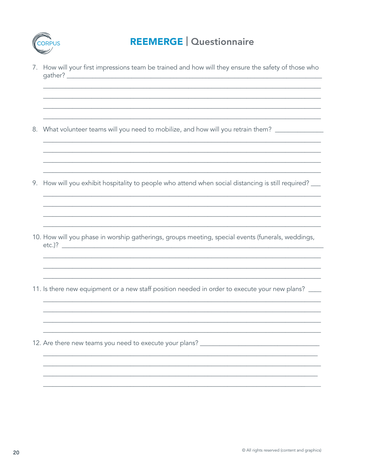

7. How will your first impressions team be trained and how will they ensure the safety of those who 

8. What volunteer teams will you need to mobilize, and how will you retrain them? \_\_\_\_\_\_\_\_\_\_\_\_\_\_\_\_\_

- 9. How will you exhibit hospitality to people who attend when social distancing is still required? \_\_
- 10. How will you phase in worship gatherings, groups meeting, special events (funerals, weddings,  $etc.$ )?  $\qquad \qquad$
- 11. Is there new equipment or a new staff position needed in order to execute your new plans? \_\_\_\_
- 12. Are there new teams you need to execute your plans? \_\_\_\_\_\_\_\_\_\_\_\_\_\_\_\_\_\_\_\_\_\_\_\_\_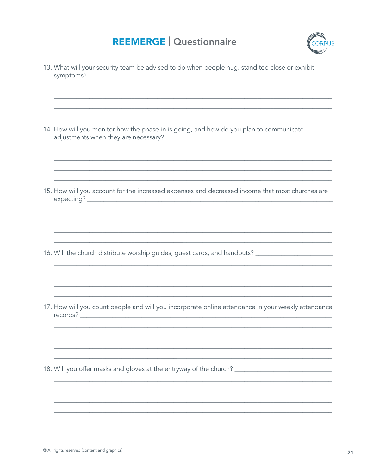

13. What will your security team be advised to do when people hug, stand too close or exhibit 14. How will you monitor how the phase-in is going, and how do you plan to communicate 15. How will you account for the increased expenses and decreased income that most churches are 16. Will the church distribute worship guides, guest cards, and handouts? \_\_\_\_\_\_\_\_\_\_\_\_\_\_\_\_\_\_\_\_\_\_\_\_\_ 17. How will you count people and will you incorporate online attendance in your weekly attendance 18. Will you offer masks and gloves at the entryway of the church? \_\_\_\_\_\_\_\_\_\_\_\_\_\_\_\_\_\_\_\_\_\_\_\_\_\_\_\_\_\_\_\_\_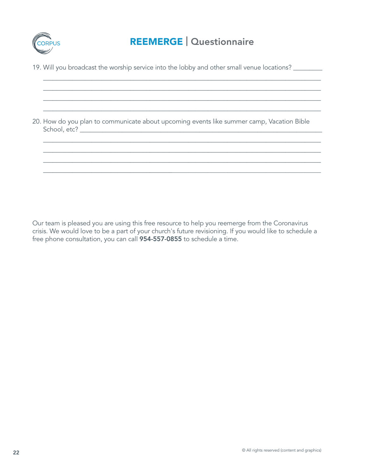

 $\_$  ,  $\_$  ,  $\_$  ,  $\_$  ,  $\_$  ,  $\_$  ,  $\_$  ,  $\_$  ,  $\_$  ,  $\_$  ,  $\_$  ,  $\_$  ,  $\_$  ,  $\_$  ,  $\_$  ,  $\_$  ,  $\_$  ,  $\_$  ,  $\_$  ,  $\_$  ,  $\_$  ,  $\_$  ,  $\_$  ,  $\_$  ,  $\_$  ,  $\_$  ,  $\_$  ,  $\_$  ,  $\_$  ,  $\_$  ,  $\_$  ,  $\_$  ,  $\_$  ,  $\_$  ,  $\_$  ,  $\_$  ,  $\_$  ,  $\_$  ,  $\_$  ,  $\_$  ,  $\_$  ,  $\_$  ,  $\_$  ,  $\_$  ,  $\_$  ,  $\_$  ,  $\_$  ,  $\_$  ,  $\_$  ,  $\_$  ,  $\_$  ,  $\_$  ,  $\_$  ,  $\_$  ,  $\_$  ,  $\_$  ,  $\_$  ,  $\_$  ,  $\_$  ,  $\_$  ,  $\_$  ,  $\_$  ,  $\_$  ,  $\_$  ,  $\_$  ,  $\_$  ,  $\_$  ,  $\_$  ,  $\_$  ,  $\_$  ,  $\_$  ,  $\_$  ,  $\_$  ,  $\_$  , \_\_\_\_\_\_\_\_\_\_\_\_\_\_\_\_\_\_\_\_\_\_\_\_\_\_\_\_\_\_\_\_\_\_\_\_\_\_\_\_\_\_\_\_\_\_\_\_\_\_\_\_\_\_\_\_\_\_\_\_\_\_\_\_\_\_\_\_\_\_\_\_\_\_\_\_\_\_\_\_\_\_\_\_\_\_  $\_$  ,  $\_$  ,  $\_$  ,  $\_$  ,  $\_$  ,  $\_$  ,  $\_$  ,  $\_$  ,  $\_$  ,  $\_$  ,  $\_$  ,  $\_$  ,  $\_$  ,  $\_$  ,  $\_$  ,  $\_$  ,  $\_$  ,  $\_$  ,  $\_$  ,  $\_$  ,  $\_$  ,  $\_$  ,  $\_$  ,  $\_$  ,  $\_$  ,  $\_$  ,  $\_$  ,  $\_$  ,  $\_$  ,  $\_$  ,  $\_$  ,  $\_$  ,  $\_$  ,  $\_$  ,  $\_$  ,  $\_$  ,  $\_$  ,

\_\_\_\_\_\_\_\_\_\_\_\_\_\_\_\_\_\_\_\_\_\_\_\_\_\_\_\_\_\_\_\_\_\_\_\_\_\_\_\_\_\_\_\_\_\_\_\_\_\_\_\_\_\_\_\_\_\_\_\_\_\_\_\_\_\_\_\_\_\_\_\_\_\_\_\_\_\_\_\_\_\_\_\_\_\_  $\_$  , and the set of the set of the set of the set of the set of the set of the set of the set of the set of the set of the set of the set of the set of the set of the set of the set of the set of the set of the set of th  $\_$  , and the set of the set of the set of the set of the set of the set of the set of the set of the set of the set of the set of the set of the set of the set of the set of the set of the set of the set of the set of th \_\_\_\_\_\_\_\_\_\_\_\_\_\_\_\_\_\_\_\_\_\_\_\_\_\_\_\_\_\_\_\_\_\_\_\_\_\_\_\_\_\_\_\_\_\_\_\_\_\_\_\_\_\_\_\_\_\_\_\_\_\_\_\_\_\_\_\_\_\_\_\_\_\_\_\_\_\_\_\_\_\_\_\_\_\_

19. Will you broadcast the worship service into the lobby and other small venue locations? \_\_\_\_\_\_\_\_

20. How do you plan to communicate about upcoming events like summer camp, Vacation Bible School, etc? \_\_\_\_\_\_\_\_\_\_\_\_\_\_\_\_\_\_\_\_\_\_\_\_\_\_\_\_\_\_\_\_\_\_\_\_\_\_\_\_\_\_\_\_\_\_\_\_\_\_\_\_\_\_\_\_\_\_\_\_\_\_\_\_\_\_\_\_\_\_\_\_\_\_\_

Our team is pleased you are using this free resource to help you reemerge from the Coronavirus crisis. We would love to be a part of your church's future revisioning. If you would like to schedule a free phone consultation, you can call 954-557-0855 to schedule a time.